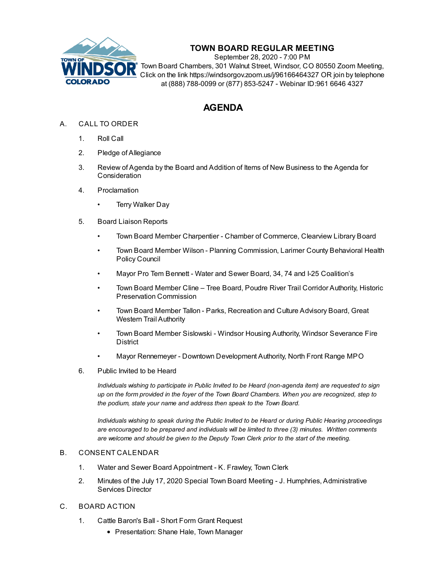

# **TOWN BOARD REGULAR MEETING**

September 28, 2020 - 7:00 PM Town Board Chambers, 301 Walnut Street, Windsor, CO 80550 Zoom Meeting, Click on the link https://windsorgov.zoom.us/j/96166464327 OR join by telephone at (888) 788-0099 or (877) 853-5247 - Webinar ID:961 6646 4327

# **AGENDA**

- A. CALL TO ORDER
	- 1. Roll Call
	- 2. Pledge of Allegiance
	- 3. Review of Agenda by the Board and Addition of Items of New Business to the Agenda for **Consideration**
	- 4. Proclamation
		- **Terry [Walker](file:///C:/Windows/TEMP/CoverSheet.aspx?ItemID=1074&MeetingID=140) Day**
	- 5. Board Liaison Reports
		- Town Board Member Charpentier Chamber of Commerce, Clearview Library Board
		- Town Board Member Wilson Planning Commission, Larimer County Behavioral Health Policy Council
		- Mayor Pro Tem Bennett Water and Sewer Board, 34, 74 and I-25 Coalition's
		- Town Board Member Cline Tree Board, Poudre River Trail Corridor Authority, Historic Preservation Commission
		- Town Board Member Tallon Parks, Recreation and Culture Advisory Board, Great Western Trail Authority
		- Town Board Member Sislowski Windsor Housing Authority, Windsor Severance Fire **District**
		- Mayor Rennemeyer Downtown Development Authority, North Front Range MPO
	- 6. Public Invited to be Heard

*Individuals wishing to participate in Public Invited to be Heard (non-agenda item) are requested to sign* up on the form provided in the foyer of the Town Board Chambers. When you are recognized, step to *the podium, state your name and address then speak to the Town Board.*

*Individuals wishing to speak during the Public Invited to be Heard or during Public Hearing proceedings are encouraged to be prepared and individuals will be limited to three (3) minutes. Written comments are welcome and should be given to the Deputy Town Clerk prior to the start of the meeting.*

#### B. CONSENT CALENDAR

- 1. Water and Sewer Board [Appointment](file:///C:/Windows/TEMP/CoverSheet.aspx?ItemID=1064&MeetingID=140) K. Frawley, Town Clerk
- 2. Minutes of the July 17, 2020 Special Town Board Meeting J. Humphries, [Administrative](file:///C:/Windows/TEMP/CoverSheet.aspx?ItemID=1071&MeetingID=140) Services Director

# C. BOARD ACTION

- 1. Cattle Baron's Ball Short Form Grant [Request](file:///C:/Windows/TEMP/CoverSheet.aspx?ItemID=1075&MeetingID=140)
	- Presentation: Shane Hale, Town Manager